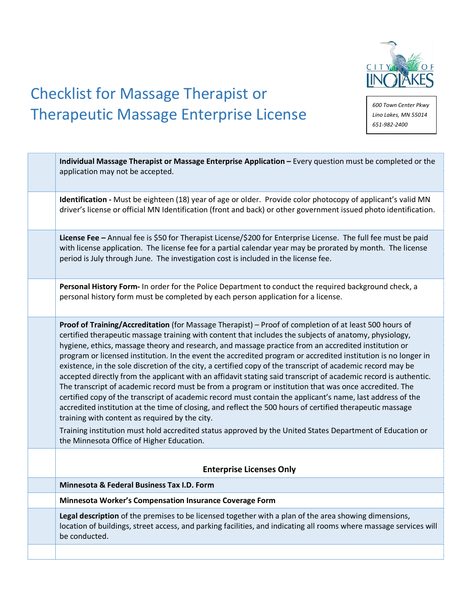

# Checklist for Massage Therapist or Therapeutic Massage Enterprise License

*600 Town Center Pkwy Lino Lakes, MN 55014 651-982-2400*

| Individual Massage Therapist or Massage Enterprise Application - Every question must be completed or the<br>application may not be accepted.                                                                                                                                                                                                                                                                                                                                                                                                                                                                                                                                                                                                                                                                                                                                                                                                                                                                                                                                                                                                                                                                                 |
|------------------------------------------------------------------------------------------------------------------------------------------------------------------------------------------------------------------------------------------------------------------------------------------------------------------------------------------------------------------------------------------------------------------------------------------------------------------------------------------------------------------------------------------------------------------------------------------------------------------------------------------------------------------------------------------------------------------------------------------------------------------------------------------------------------------------------------------------------------------------------------------------------------------------------------------------------------------------------------------------------------------------------------------------------------------------------------------------------------------------------------------------------------------------------------------------------------------------------|
| Identification - Must be eighteen (18) year of age or older. Provide color photocopy of applicant's valid MN<br>driver's license or official MN Identification (front and back) or other government issued photo identification.                                                                                                                                                                                                                                                                                                                                                                                                                                                                                                                                                                                                                                                                                                                                                                                                                                                                                                                                                                                             |
| License Fee - Annual fee is \$50 for Therapist License/\$200 for Enterprise License. The full fee must be paid<br>with license application. The license fee for a partial calendar year may be prorated by month. The license<br>period is July through June. The investigation cost is included in the license fee.                                                                                                                                                                                                                                                                                                                                                                                                                                                                                                                                                                                                                                                                                                                                                                                                                                                                                                         |
| Personal History Form- In order for the Police Department to conduct the required background check, a<br>personal history form must be completed by each person application for a license.                                                                                                                                                                                                                                                                                                                                                                                                                                                                                                                                                                                                                                                                                                                                                                                                                                                                                                                                                                                                                                   |
| Proof of Training/Accreditation (for Massage Therapist) - Proof of completion of at least 500 hours of<br>certified therapeutic massage training with content that includes the subjects of anatomy, physiology,<br>hygiene, ethics, massage theory and research, and massage practice from an accredited institution or<br>program or licensed institution. In the event the accredited program or accredited institution is no longer in<br>existence, in the sole discretion of the city, a certified copy of the transcript of academic record may be<br>accepted directly from the applicant with an affidavit stating said transcript of academic record is authentic.<br>The transcript of academic record must be from a program or institution that was once accredited. The<br>certified copy of the transcript of academic record must contain the applicant's name, last address of the<br>accredited institution at the time of closing, and reflect the 500 hours of certified therapeutic massage<br>training with content as required by the city.<br>Training institution must hold accredited status approved by the United States Department of Education or<br>the Minnesota Office of Higher Education. |
| <b>Enterprise Licenses Only</b>                                                                                                                                                                                                                                                                                                                                                                                                                                                                                                                                                                                                                                                                                                                                                                                                                                                                                                                                                                                                                                                                                                                                                                                              |
| Minnesota & Federal Business Tax I.D. Form                                                                                                                                                                                                                                                                                                                                                                                                                                                                                                                                                                                                                                                                                                                                                                                                                                                                                                                                                                                                                                                                                                                                                                                   |
| Minnesota Worker's Compensation Insurance Coverage Form                                                                                                                                                                                                                                                                                                                                                                                                                                                                                                                                                                                                                                                                                                                                                                                                                                                                                                                                                                                                                                                                                                                                                                      |
| Legal description of the premises to be licensed together with a plan of the area showing dimensions,<br>location of buildings, street access, and parking facilities, and indicating all rooms where massage services will<br>be conducted.                                                                                                                                                                                                                                                                                                                                                                                                                                                                                                                                                                                                                                                                                                                                                                                                                                                                                                                                                                                 |
|                                                                                                                                                                                                                                                                                                                                                                                                                                                                                                                                                                                                                                                                                                                                                                                                                                                                                                                                                                                                                                                                                                                                                                                                                              |
|                                                                                                                                                                                                                                                                                                                                                                                                                                                                                                                                                                                                                                                                                                                                                                                                                                                                                                                                                                                                                                                                                                                                                                                                                              |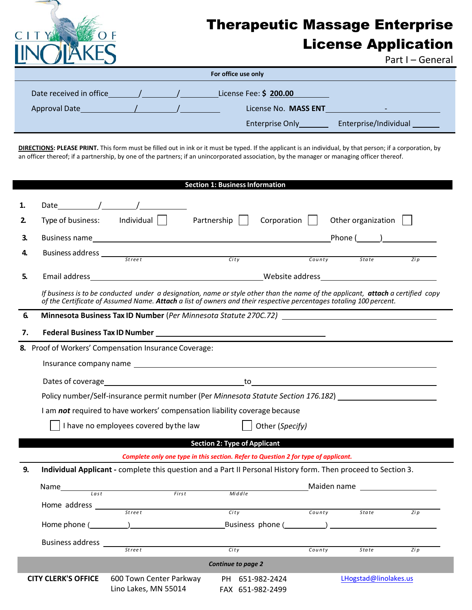

# Therapeutic Massage Enterprise License Application

Part I – General

| For office use only     |  |  |                        |                          |  |  |  |
|-------------------------|--|--|------------------------|--------------------------|--|--|--|
| Date received in office |  |  | License Fee: \$ 200.00 |                          |  |  |  |
| <b>Approval Date</b>    |  |  | License No. MASS ENT   | $\overline{\phantom{0}}$ |  |  |  |
|                         |  |  | <b>Enterprise Only</b> | Enterprise/Individual    |  |  |  |

**DIRECTIONS: PLEASE PRINT.** This form must be filled out in ink or it must be typed. If the applicant is an individual, by that person; if a corporation, by an officer thereof; if a partnership, by one of the partners; if an unincorporated association, by the manager or managing officer thereof.

|    |                            |                                                                                                                                 | <b>Section 1: Business Information</b> |                                                                                    |                                                                                                                |                             |
|----|----------------------------|---------------------------------------------------------------------------------------------------------------------------------|----------------------------------------|------------------------------------------------------------------------------------|----------------------------------------------------------------------------------------------------------------|-----------------------------|
| 1. |                            | Date / /                                                                                                                        |                                        |                                                                                    |                                                                                                                |                             |
| 2. |                            | Type of business: $\qquad$ Individual $\vert$                                                                                   | Partnership                            | Corporation $  $                                                                   | Other organization $\vert$                                                                                     |                             |
| 3. |                            |                                                                                                                                 |                                        |                                                                                    | $Phone (\_\_\_$                                                                                                |                             |
| 4. |                            |                                                                                                                                 |                                        |                                                                                    |                                                                                                                | $\overline{Z}$ <i>i</i> $p$ |
| 5. |                            |                                                                                                                                 |                                        |                                                                                    |                                                                                                                |                             |
|    |                            | If business is to be conducted under a designation, name or style other than the name of the applicant, attach a certified copy |                                        |                                                                                    |                                                                                                                |                             |
|    |                            | of the Certificate of Assumed Name. Attach a list of owners and their respective percentages totaling 100 percent.              |                                        |                                                                                    |                                                                                                                |                             |
| 6. |                            |                                                                                                                                 |                                        |                                                                                    |                                                                                                                |                             |
| 7. |                            |                                                                                                                                 |                                        |                                                                                    |                                                                                                                |                             |
| 8. |                            | Proof of Workers' Compensation Insurance Coverage:                                                                              |                                        |                                                                                    |                                                                                                                |                             |
|    |                            |                                                                                                                                 |                                        |                                                                                    |                                                                                                                |                             |
|    |                            |                                                                                                                                 |                                        |                                                                                    |                                                                                                                |                             |
|    |                            | Policy number/Self-insurance permit number (Per Minnesota Statute Section 176.182)                                              |                                        |                                                                                    |                                                                                                                |                             |
|    |                            | I am not required to have workers' compensation liability coverage because                                                      |                                        |                                                                                    |                                                                                                                |                             |
|    |                            | I have no employees covered by the law                                                                                          |                                        | Other (Specify)                                                                    |                                                                                                                |                             |
|    |                            | <u> The Communication of the Communication of the Communication of the Communication of the Communication of the </u>           | <b>Section 2: Type of Applicant</b>    |                                                                                    |                                                                                                                |                             |
|    |                            |                                                                                                                                 |                                        | Complete only one type in this section. Refer to Question 2 for type of applicant. |                                                                                                                |                             |
| 9. |                            | Individual Applicant - complete this question and a Part II Personal History form. Then proceed to Section 3.                   |                                        |                                                                                    |                                                                                                                |                             |
|    |                            |                                                                                                                                 | Middle                                 |                                                                                    | Maiden name and the state of the state of the state of the state of the state of the state of the state of the |                             |
|    |                            |                                                                                                                                 |                                        |                                                                                    |                                                                                                                |                             |
|    |                            |                                                                                                                                 | City                                   | County                                                                             | State                                                                                                          | Zi p                        |
|    |                            |                                                                                                                                 |                                        | Business phone ( <b>Business</b> phone ( <b>Business</b> )                         |                                                                                                                |                             |
|    | <b>Business address</b>    | <b>Street</b>                                                                                                                   | City                                   | County                                                                             | State                                                                                                          | $\overline{Zip}$            |
|    |                            |                                                                                                                                 | <b>Continue to page 2</b>              |                                                                                    |                                                                                                                |                             |
|    | <b>CITY CLERK'S OFFICE</b> | 600 Town Center Parkway<br>Lino Lakes, MN 55014                                                                                 | FAX 651-982-2499                       | PH 651-982-2424                                                                    | LHogstad@linolakes.us                                                                                          |                             |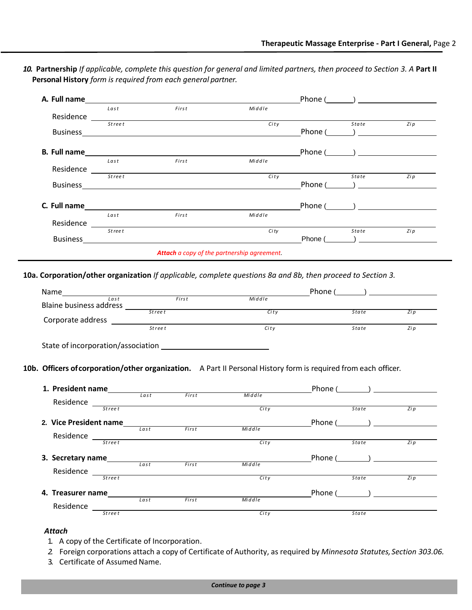*10.* **Partnership** *If applicable, complete this question for general and limited partners, then proceed to Section 3. A* **Part II Personal History** *form is required from each general partner.*

| First<br>Middle<br>Last<br>Residence<br><b>Street</b><br>State<br>City<br>Phone $(\_\_)$<br>$Phone (\_\_\_\_)$<br>Middle<br><i>First</i><br>Last<br>Residence Street City<br>State<br>Phone $(\_\_\_\_)$<br>Business <b>Example 20</b> No. 2014 19:30 No. 2014 19:30 No. 2014 19:30 No. 2014 19:30 No. 2014 19:30 No. 2014 19:30 No. 2014 19:30 No. 2014 19:30 No. 2014 19:30 No. 2014 19:30 No. 2014 19:30 No. 2014 19:30 No. 2014 19:30 No. 2<br>Phone $(\_\_)$<br>First<br>Middle<br>Last<br>Residence Street City<br>City<br>State<br><b>Attach</b> a copy of the partnership agreement.<br>10a. Corporation/other organization If applicable, complete questions 8a and 8b, then proceed to Section 3.<br>Phone $(\_\_\_\_)$<br>City<br>State<br>City<br><b>Street</b><br><i>State</i> |  |  | Phone $(\_\_\_)$ |      |
|---------------------------------------------------------------------------------------------------------------------------------------------------------------------------------------------------------------------------------------------------------------------------------------------------------------------------------------------------------------------------------------------------------------------------------------------------------------------------------------------------------------------------------------------------------------------------------------------------------------------------------------------------------------------------------------------------------------------------------------------------------------------------------------------|--|--|------------------|------|
|                                                                                                                                                                                                                                                                                                                                                                                                                                                                                                                                                                                                                                                                                                                                                                                             |  |  |                  |      |
|                                                                                                                                                                                                                                                                                                                                                                                                                                                                                                                                                                                                                                                                                                                                                                                             |  |  |                  | Zi p |
|                                                                                                                                                                                                                                                                                                                                                                                                                                                                                                                                                                                                                                                                                                                                                                                             |  |  |                  |      |
|                                                                                                                                                                                                                                                                                                                                                                                                                                                                                                                                                                                                                                                                                                                                                                                             |  |  |                  |      |
|                                                                                                                                                                                                                                                                                                                                                                                                                                                                                                                                                                                                                                                                                                                                                                                             |  |  |                  |      |
|                                                                                                                                                                                                                                                                                                                                                                                                                                                                                                                                                                                                                                                                                                                                                                                             |  |  |                  |      |
|                                                                                                                                                                                                                                                                                                                                                                                                                                                                                                                                                                                                                                                                                                                                                                                             |  |  |                  | Zip  |
|                                                                                                                                                                                                                                                                                                                                                                                                                                                                                                                                                                                                                                                                                                                                                                                             |  |  |                  |      |
|                                                                                                                                                                                                                                                                                                                                                                                                                                                                                                                                                                                                                                                                                                                                                                                             |  |  |                  |      |
|                                                                                                                                                                                                                                                                                                                                                                                                                                                                                                                                                                                                                                                                                                                                                                                             |  |  |                  |      |
|                                                                                                                                                                                                                                                                                                                                                                                                                                                                                                                                                                                                                                                                                                                                                                                             |  |  |                  |      |
|                                                                                                                                                                                                                                                                                                                                                                                                                                                                                                                                                                                                                                                                                                                                                                                             |  |  |                  | Zip  |
|                                                                                                                                                                                                                                                                                                                                                                                                                                                                                                                                                                                                                                                                                                                                                                                             |  |  |                  |      |
|                                                                                                                                                                                                                                                                                                                                                                                                                                                                                                                                                                                                                                                                                                                                                                                             |  |  |                  |      |
|                                                                                                                                                                                                                                                                                                                                                                                                                                                                                                                                                                                                                                                                                                                                                                                             |  |  |                  |      |
|                                                                                                                                                                                                                                                                                                                                                                                                                                                                                                                                                                                                                                                                                                                                                                                             |  |  |                  |      |
|                                                                                                                                                                                                                                                                                                                                                                                                                                                                                                                                                                                                                                                                                                                                                                                             |  |  |                  |      |
|                                                                                                                                                                                                                                                                                                                                                                                                                                                                                                                                                                                                                                                                                                                                                                                             |  |  |                  |      |
|                                                                                                                                                                                                                                                                                                                                                                                                                                                                                                                                                                                                                                                                                                                                                                                             |  |  |                  | Zip  |
|                                                                                                                                                                                                                                                                                                                                                                                                                                                                                                                                                                                                                                                                                                                                                                                             |  |  |                  | Zi p |

**10b. Officers ofcorporation/other organization.** A Part II Personal History form is required from each officer*.* 

| 1. President name      |         |      |       |        | Phone ( |              | $\begin{picture}(20,20)(-0.0,0.0) \put(0,0){\line(1,0){10}} \put(15,0){\line(1,0){10}} \put(15,0){\line(1,0){10}} \put(15,0){\line(1,0){10}} \put(15,0){\line(1,0){10}} \put(15,0){\line(1,0){10}} \put(15,0){\line(1,0){10}} \put(15,0){\line(1,0){10}} \put(15,0){\line(1,0){10}} \put(15,0){\line(1,0){10}} \put(15,0){\line(1,0){10}} \put($ |
|------------------------|---------|------|-------|--------|---------|--------------|--------------------------------------------------------------------------------------------------------------------------------------------------------------------------------------------------------------------------------------------------------------------------------------------------------------------------------------------------|
|                        |         | Last | First | Middle |         |              |                                                                                                                                                                                                                                                                                                                                                  |
| Residence              | Stree t |      |       | City   |         | State        | Zi p                                                                                                                                                                                                                                                                                                                                             |
| 2. Vice President name |         |      |       |        | Phone ( |              |                                                                                                                                                                                                                                                                                                                                                  |
|                        |         | Last | First | Middle |         |              |                                                                                                                                                                                                                                                                                                                                                  |
| Residence              | Stree t |      |       | City   |         | State        | Zi p                                                                                                                                                                                                                                                                                                                                             |
| 3. Secretary name      |         |      |       |        | Phone ( |              |                                                                                                                                                                                                                                                                                                                                                  |
| Residence              |         | Last | First | Middle |         |              |                                                                                                                                                                                                                                                                                                                                                  |
|                        | Stree t |      |       | City   |         | <b>State</b> | Zi p                                                                                                                                                                                                                                                                                                                                             |
| 4. Treasurer name      |         |      |       |        | Phone ( |              | $\begin{picture}(20,20)(-0.0,0) \put(0,0){\line(1,0){10}} \put(15,0){\line(1,0){10}} \put(15,0){\line(1,0){10}} \put(15,0){\line(1,0){10}} \put(15,0){\line(1,0){10}} \put(15,0){\line(1,0){10}} \put(15,0){\line(1,0){10}} \put(15,0){\line(1,0){10}} \put(15,0){\line(1,0){10}} \put(15,0){\line(1,0){10}} \put(15,0){\line(1,0){10}} \put(15$ |
| Residence              |         | Last | First | Middle |         |              |                                                                                                                                                                                                                                                                                                                                                  |
|                        | Street  |      |       | City   |         | State        |                                                                                                                                                                                                                                                                                                                                                  |

### *Attach*

- 1. A copy of the Certificate of Incorporation.
- *2.* Foreign corporations attach a copy of Certificate of Authority, as required by *Minnesota Statutes, Section 303.06.*
- 3. Certificate of Assumed Name.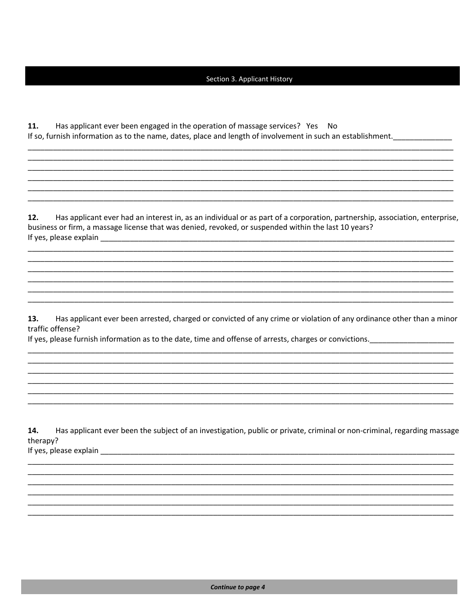#### Section 3. Applicant History

11. Has applicant ever been engaged in the operation of massage services? Yes No If so, furnish information as to the name, dates, place and length of involvement in such an establishment.

Has applicant ever had an interest in, as an individual or as part of a corporation, partnership, association, enterprise,  $12.$ business or firm, a massage license that was denied, revoked, or suspended within the last 10 years? If yes, please explain

Has applicant ever been arrested, charged or convicted of any crime or violation of any ordinance other than a minor 13. traffic offense?

If yes, please furnish information as to the date, time and offense of arrests, charges or convictions.

14. Has applicant ever been the subject of an investigation, public or private, criminal or non-criminal, regarding massage therapy? If yes, please explain explain and the same state of the state of the state of the state of the state of the state of the state of the state of the state of the state of the state of the state of the state of the state of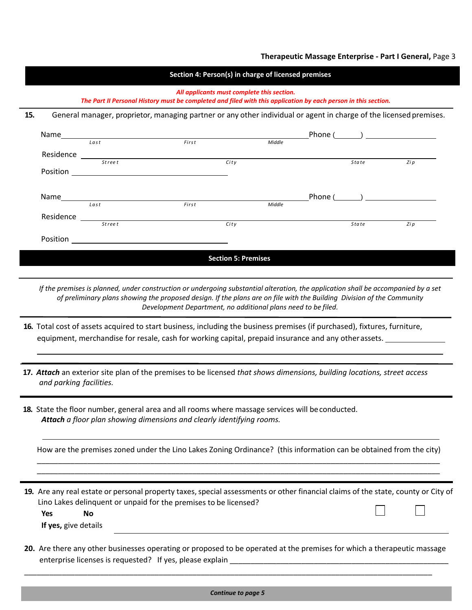### **Therapeutic Massage Enterprise - Part I General,** Page 3

|     | Section 4: Person(s) in charge of licensed premises                                                                                                          |               |                                                                                                                      |                            |        |  |       |                  |  |  |
|-----|--------------------------------------------------------------------------------------------------------------------------------------------------------------|---------------|----------------------------------------------------------------------------------------------------------------------|----------------------------|--------|--|-------|------------------|--|--|
|     | All applicants must complete this section.<br>The Part II Personal History must be completed and filed with this application by each person in this section. |               |                                                                                                                      |                            |        |  |       |                  |  |  |
| 15. |                                                                                                                                                              |               | General manager, proprietor, managing partner or any other individual or agent in charge of the licensed premises.   |                            |        |  |       |                  |  |  |
|     |                                                                                                                                                              |               | Name <u>Last</u> <b>Eirst</b> Middle                                                                                 |                            |        |  |       | $Phone (\_\_\_)$ |  |  |
|     |                                                                                                                                                              |               |                                                                                                                      |                            |        |  |       |                  |  |  |
|     |                                                                                                                                                              | <b>Street</b> |                                                                                                                      | City                       |        |  | State | Zi p             |  |  |
|     |                                                                                                                                                              |               |                                                                                                                      |                            |        |  |       | Phone $(\_\_\_)$ |  |  |
|     | Residence                                                                                                                                                    | Last          | First                                                                                                                |                            | Middle |  |       |                  |  |  |
|     | Position                                                                                                                                                     | <b>Street</b> | <u> 1989 - John Stein, mars and de Britain and de Britain and de Britain and de Britain and de Britain and de Br</u> | City                       |        |  | State | Zi p             |  |  |
|     |                                                                                                                                                              |               |                                                                                                                      | <b>Section 5: Premises</b> |        |  |       |                  |  |  |

*If the premises is planned, under construction or undergoing substantial alteration, the application shall be accompanied by a set of preliminary plans showing the proposed design. If the plans are on file with the Building Division of the Community Development Department, no additional plans need to be filed.*

- **16.** Total cost of assets acquired to start business, including the business premises (if purchased), fixtures, furniture, equipment, merchandise for resale, cash for working capital, prepaid insurance and any otherassets.
- **17.** *Attach* an exterior site plan of the premises to be licensed *that shows dimensions, building locations, street access and parking facilities.*
- **18.** State the floor number, general area and all rooms where massage services will beconducted. *Attach a floor plan showing dimensions and clearly identifying rooms.*

How are the premises zoned under the Lino Lakes Zoning Ordinance?(this information can be obtained from the city) \_\_\_\_\_\_\_\_\_\_\_\_\_\_\_\_\_\_\_\_\_\_\_\_\_\_\_\_\_\_\_\_\_\_\_\_\_\_\_\_\_\_\_\_\_\_\_\_\_\_\_\_\_\_\_\_\_\_\_\_\_\_\_\_\_\_\_\_\_\_\_\_\_\_\_\_\_\_\_\_\_\_\_\_\_\_\_\_\_\_\_\_\_\_\_\_

\_\_\_\_\_\_\_\_\_\_\_\_\_\_\_\_\_\_\_\_\_\_\_\_\_\_\_\_\_\_\_\_\_\_\_\_\_\_\_\_\_\_\_\_\_\_\_\_\_\_\_\_\_\_\_\_\_\_\_\_\_\_\_\_\_\_\_\_\_\_\_\_\_\_\_\_\_\_\_\_\_\_\_\_\_\_\_\_\_\_\_\_\_\_\_\_

19. Are any real estate or personal property taxes, special assessments or other financial claims of the state, county or City of Lino Lakes delinquent or unpaid for the premises to be licensed?

**Yes No If yes,** give details

**20.** Are there any other businesses operating or proposed to be operated at the premises for which a therapeutic massage enterprise licenses is requested? If yes, please explain

\_\_\_\_\_\_\_\_\_\_\_\_\_\_\_\_\_\_\_\_\_\_\_\_\_\_\_\_\_\_\_\_\_\_\_\_\_\_\_\_\_\_\_\_\_\_\_\_\_\_\_\_\_\_\_\_\_\_\_\_\_\_\_\_\_\_\_\_\_\_\_\_\_\_\_\_\_\_\_\_\_\_\_\_\_\_\_\_\_\_\_\_\_\_\_\_\_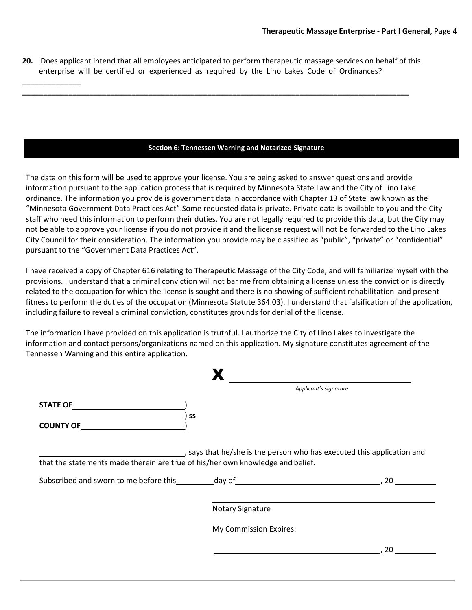**20.** Does applicant intend that all employees anticipated to perform therapeutic massage services on behalf of this enterprise will be certified or experienced as required by the Lino Lakes Code of Ordinances?

**\_\_\_\_\_\_\_\_\_\_\_\_\_\_\_\_\_\_\_\_\_\_\_\_\_\_\_\_\_\_\_\_\_\_\_\_\_\_\_\_\_\_\_\_\_\_\_\_\_\_\_\_\_\_\_\_\_\_\_\_\_\_\_\_\_\_\_\_\_\_\_\_\_\_\_\_\_\_\_\_\_\_\_\_\_\_\_\_\_\_\_\_**

**\_\_\_\_\_\_\_\_\_\_\_\_\_\_**

### **Section 6: Tennessen Warning and Notarized Signature**

The data on this form will be used to approve your license. You are being asked to answer questions and provide information pursuant to the application process that is required by Minnesota State Law and the City of Lino Lake ordinance. The information you provide is government data in accordance with Chapter 13 of State law known as the "Minnesota Government Data Practices Act".Some requested data is private. Private data is available to you and the City staff who need this information to perform their duties. You are not legally required to provide this data, but the City may not be able to approve your license if you do not provide it and the license request will not be forwarded to the Lino Lakes City Council for their consideration. The information you provide may be classified as "public", "private" or "confidential" pursuant to the "Government Data Practices Act".

I have received a copy of Chapter 616 relating to Therapeutic Massage of the City Code, and will familiarize myself with the provisions. I understand that a criminal conviction will not bar me from obtaining a license unless the conviction is directly related to the occupation for which the license is sought and there is no showing of sufficient rehabilitation and present fitness to perform the duties of the occupation (Minnesota Statute 364.03). I understand that falsification of the application, including failure to reveal a criminal conviction, constitutes grounds for denial of the license.

The information I have provided on this application is truthful. I authorize the City of Lino Lakes to investigate the information and contact persons/organizations named on this application. My signature constitutes agreement of the Tennessen Warning and this entire application.

|                                                                                                                                                                                                                               | Applicant's signature                                                |     |
|-------------------------------------------------------------------------------------------------------------------------------------------------------------------------------------------------------------------------------|----------------------------------------------------------------------|-----|
| <b>STATE OF</b>                                                                                                                                                                                                               |                                                                      |     |
| SS<br><b>COUNTY OF</b>                                                                                                                                                                                                        |                                                                      |     |
| that the statements made therein are true of his/her own knowledge and belief.                                                                                                                                                | says that he/she is the person who has executed this application and |     |
|                                                                                                                                                                                                                               |                                                                      |     |
|                                                                                                                                                                                                                               |                                                                      | .20 |
|                                                                                                                                                                                                                               | <b>Notary Signature</b>                                              |     |
| Subscribed and sworn to me before this day of day of the state of the state of the state of the state of the state of the state of the state of the state of the state of the state of the state of the state of the state of | My Commission Expires:                                               |     |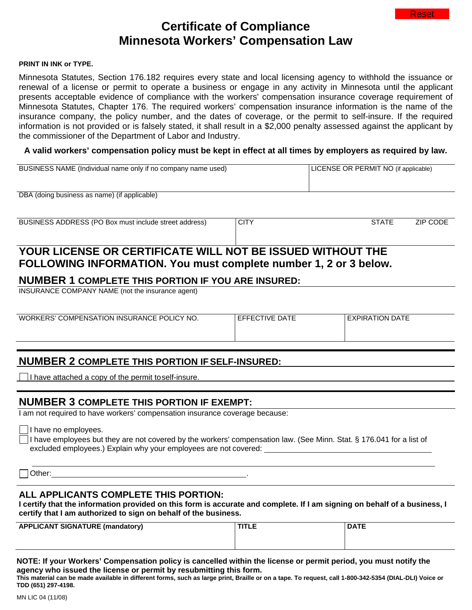# **Certificate of Compliance Minnesota Workers' Compensation Law**

### **PRINT IN INK or TYPE.**

Minnesota Statutes, Section 176.182 requires every state and local licensing agency to withhold the issuance or renewal of a license or permit to operate a business or engage in any activity in Minnesota until the applicant presents acceptable evidence of compliance with the workers' compensation insurance coverage requirement of Minnesota Statutes, Chapter 176. The required workers' compensation insurance information is the name of the insurance company, the policy number, and the dates of coverage, or the permit to self-insure. If the required information is not provided or is falsely stated, it shall result in a \$2,000 penalty assessed against the applicant by the commissioner of the Department of Labor and Industry.

## **A valid workers' compensation policy must be kept in effect at all times by employers as required by law.**

| BUSINESS NAME (Individual name only if no company name used) | LICENSE OR PERMIT NO (if applicable) |              |          |  |  |
|--------------------------------------------------------------|--------------------------------------|--------------|----------|--|--|
| DBA (doing business as name) (if applicable)                 |                                      |              |          |  |  |
| BUSINESS ADDRESS (PO Box must include street address)        | <b>CITY</b>                          | <b>STATE</b> | ZIP CODE |  |  |
| YOUR LICENSE OR CERTIFICATE WILL NOT BE ISSUED WITHOUT THE   |                                      |              |          |  |  |

# **FOLLOWING INFORMATION. You must complete number 1, 2 or 3 below.**

## **NUMBER 1 COMPLETE THIS PORTION IF YOU ARE INSURED:**

INSURANCE COMPANY NAME (not the insurance agent)

WORKERS' COMPENSATION INSURANCE POLICY NO. FEFFECTIVE DATE FXPIRATION DATE

## **NUMBER 2 COMPLETE THIS PORTION IFSELF-INSURED:**

 $\Box$  I have attached a copy of the permit toself-insure.

# **NUMBER 3 COMPLETE THIS PORTION IF EXEMPT:**

I am not required to have workers' compensation insurance coverage because:

I have no employees.

I have employees but they are not covered by the workers' compensation law. (See Minn. Stat. § 176.041 for a list of excluded employees.) Explain why your employees are not covered:

Other: .

## **ALL APPLICANTS COMPLETE THIS PORTION:**

**I certify that the information provided on this form is accurate and complete. If I am signing on behalf of a business, I certify that I am authorized to sign on behalf of the business.**

| <b>APPLICANT SIGNATURE (mandatory)</b> | <b>TITLE</b> | <b>DATE</b> |
|----------------------------------------|--------------|-------------|
|                                        |              |             |
|                                        |              |             |

**NOTE: If your Workers' Compensation policy is cancelled within the license or permit period, you must notify the agency who issued the license or permit by resubmitting this form.**

**This material can be made available in different forms, such as large print, Braille or on a tape. To request, call 1-800-342-5354 (DIAL-DLI) Voice or TDD (651) 297-4198.**